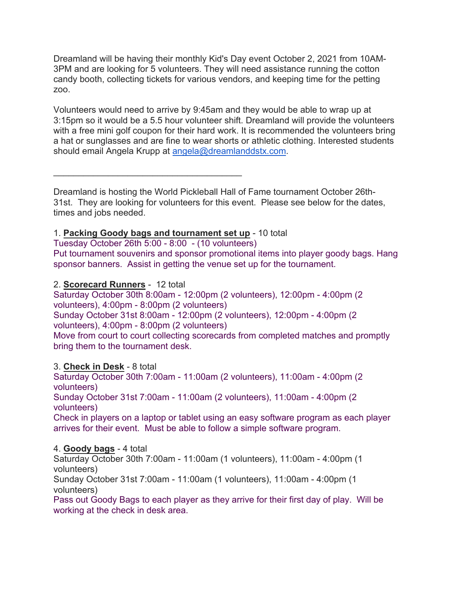Dreamland will be having their monthly Kid's Day event October 2, 2021 from 10AM-3PM and are looking for 5 volunteers. They will need assistance running the cotton candy booth, collecting tickets for various vendors, and keeping time for the petting zoo.

Volunteers would need to arrive by 9:45am and they would be able to wrap up at 3:15pm so it would be a 5.5 hour volunteer shift. Dreamland will provide the volunteers with a free mini golf coupon for their hard work. It is recommended the volunteers bring a hat or sunglasses and are fine to wear shorts or athletic clothing. Interested students should email Angela Krupp at angela@dreamlanddstx.com.

Dreamland is hosting the World Pickleball Hall of Fame tournament October 26th-31st. They are looking for volunteers for this event. Please see below for the dates, times and jobs needed.

## 1. **Packing Goody bags and tournament set up** - 10 total

Tuesday October 26th 5:00 - 8:00 - (10 volunteers)

 $\mathcal{L}_\text{max}$  and  $\mathcal{L}_\text{max}$  and  $\mathcal{L}_\text{max}$  and  $\mathcal{L}_\text{max}$ 

Put tournament souvenirs and sponsor promotional items into player goody bags. Hang sponsor banners. Assist in getting the venue set up for the tournament.

## 2. **Scorecard Runners** - 12 total

Saturday October 30th 8:00am - 12:00pm (2 volunteers), 12:00pm - 4:00pm (2 volunteers), 4:00pm - 8:00pm (2 volunteers) Sunday October 31st 8:00am - 12:00pm (2 volunteers), 12:00pm - 4:00pm (2 volunteers), 4:00pm - 8:00pm (2 volunteers) Move from court to court collecting scorecards from completed matches and promptly bring them to the tournament desk.

## 3. **Check in Desk** - 8 total

Saturday October 30th 7:00am - 11:00am (2 volunteers), 11:00am - 4:00pm (2 volunteers)

Sunday October 31st 7:00am - 11:00am (2 volunteers), 11:00am - 4:00pm (2 volunteers)

Check in players on a laptop or tablet using an easy software program as each player arrives for their event. Must be able to follow a simple software program.

## 4. **Goody bags** - 4 total

Saturday October 30th 7:00am - 11:00am (1 volunteers), 11:00am - 4:00pm (1 volunteers)

Sunday October 31st 7:00am - 11:00am (1 volunteers), 11:00am - 4:00pm (1 volunteers)

Pass out Goody Bags to each player as they arrive for their first day of play. Will be working at the check in desk area.